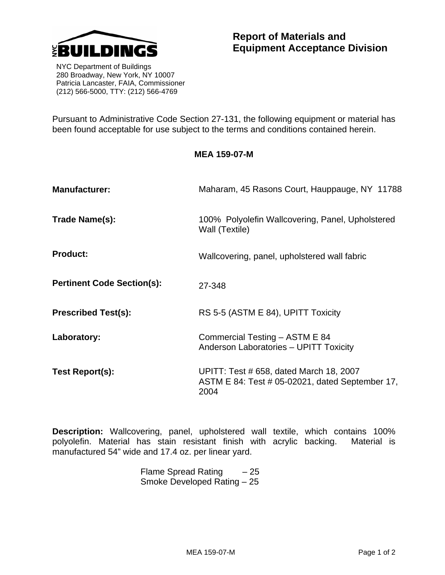

 NYC Department of Buildings 280 Broadway, New York, NY 10007 Patricia Lancaster, FAIA, Commissioner (212) 566-5000, TTY: (212) 566-4769

Pursuant to Administrative Code Section 27-131, the following equipment or material has been found acceptable for use subject to the terms and conditions contained herein.

**MEA 159-07-M** 

| <b>Manufacturer:</b>              | Maharam, 45 Rasons Court, Hauppauge, NY 11788                                                      |
|-----------------------------------|----------------------------------------------------------------------------------------------------|
| Trade Name(s):                    | 100% Polyolefin Wallcovering, Panel, Upholstered<br>Wall (Textile)                                 |
| <b>Product:</b>                   | Wallcovering, panel, upholstered wall fabric                                                       |
| <b>Pertinent Code Section(s):</b> | 27-348                                                                                             |
| <b>Prescribed Test(s):</b>        | RS 5-5 (ASTM E 84), UPITT Toxicity                                                                 |
| Laboratory:                       | Commercial Testing - ASTM E 84<br>Anderson Laboratories - UPITT Toxicity                           |
| Test Report(s):                   | UPITT: Test # 658, dated March 18, 2007<br>ASTM E 84: Test # 05-02021, dated September 17,<br>2004 |

**Description:** Wallcovering, panel, upholstered wall textile, which contains 100% polyolefin. Material has stain resistant finish with acrylic backing. Material is manufactured 54" wide and 17.4 oz. per linear yard.

> Flame Spread Rating  $-25$ Smoke Developed Rating – 25